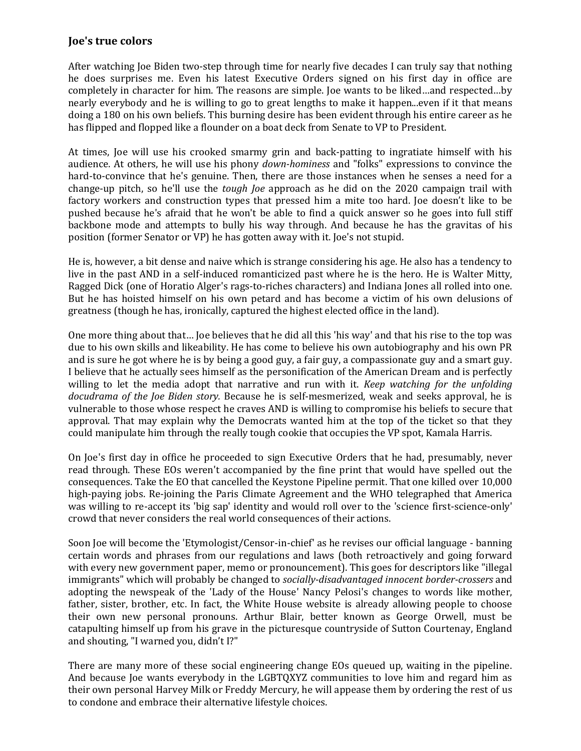## **Joe's true colors**

After watching Joe Biden two-step through time for nearly five decades I can truly say that nothing he does surprises me. Even his latest Executive Orders signed on his first day in office are completely in character for him. The reasons are simple. Joe wants to be liked…and respected…by nearly everybody and he is willing to go to great lengths to make it happen...even if it that means doing a 180 on his own beliefs. This burning desire has been evident through his entire career as he has flipped and flopped like a flounder on a boat deck from Senate to VP to President.

At times, Joe will use his crooked smarmy grin and back-patting to ingratiate himself with his audience. At others, he will use his phony *down-hominess* and "folks" expressions to convince the hard-to-convince that he's genuine. Then, there are those instances when he senses a need for a change-up pitch, so he'll use the *tough Joe* approach as he did on the 2020 campaign trail with factory workers and construction types that pressed him a mite too hard. Joe doesn't like to be pushed because he's afraid that he won't be able to find a quick answer so he goes into full stiff backbone mode and attempts to bully his way through. And because he has the gravitas of his position (former Senator or VP) he has gotten away with it. Joe's not stupid.

He is, however, a bit dense and naive which is strange considering his age. He also has a tendency to live in the past AND in a self-induced romanticized past where he is the hero. He is Walter Mitty, Ragged Dick (one of Horatio Alger's rags-to-riches characters) and Indiana Jones all rolled into one. But he has hoisted himself on his own petard and has become a victim of his own delusions of greatness (though he has, ironically, captured the highest elected office in the land).

One more thing about that… Joe believes that he did all this 'his way' and that his rise to the top was due to his own skills and likeability. He has come to believe his own autobiography and his own PR and is sure he got where he is by being a good guy, a fair guy, a compassionate guy and a smart guy. I believe that he actually sees himself as the personification of the American Dream and is perfectly willing to let the media adopt that narrative and run with it. *Keep watching for the unfolding docudrama of the Joe Biden story.* Because he is self-mesmerized, weak and seeks approval, he is vulnerable to those whose respect he craves AND is willing to compromise his beliefs to secure that approval. That may explain why the Democrats wanted him at the top of the ticket so that they could manipulate him through the really tough cookie that occupies the VP spot, Kamala Harris.

On Joe's first day in office he proceeded to sign Executive Orders that he had, presumably, never read through. These EOs weren't accompanied by the fine print that would have spelled out the consequences. Take the EO that cancelled the Keystone Pipeline permit. That one killed over 10,000 high-paying jobs. Re-joining the Paris Climate Agreement and the WHO telegraphed that America was willing to re-accept its 'big sap' identity and would roll over to the 'science first-science-only' crowd that never considers the real world consequences of their actions.

Soon Joe will become the 'Etymologist/Censor-in-chief' as he revises our official language - banning certain words and phrases from our regulations and laws (both retroactively and going forward with every new government paper, memo or pronouncement). This goes for descriptors like "illegal immigrants" which will probably be changed to *socially-disadvantaged innocent border-crossers* and adopting the newspeak of the 'Lady of the House' Nancy Pelosi's changes to words like mother, father, sister, brother, etc. In fact, the White House website is already allowing people to choose their own new personal pronouns. Arthur Blair, better known as George Orwell, must be catapulting himself up from his grave in the picturesque countryside of Sutton Courtenay, England and shouting, "I warned you, didn't I?"

There are many more of these social engineering change EOs queued up, waiting in the pipeline. And because Joe wants everybody in the LGBTQXYZ communities to love him and regard him as their own personal Harvey Milk or Freddy Mercury, he will appease them by ordering the rest of us to condone and embrace their alternative lifestyle choices.